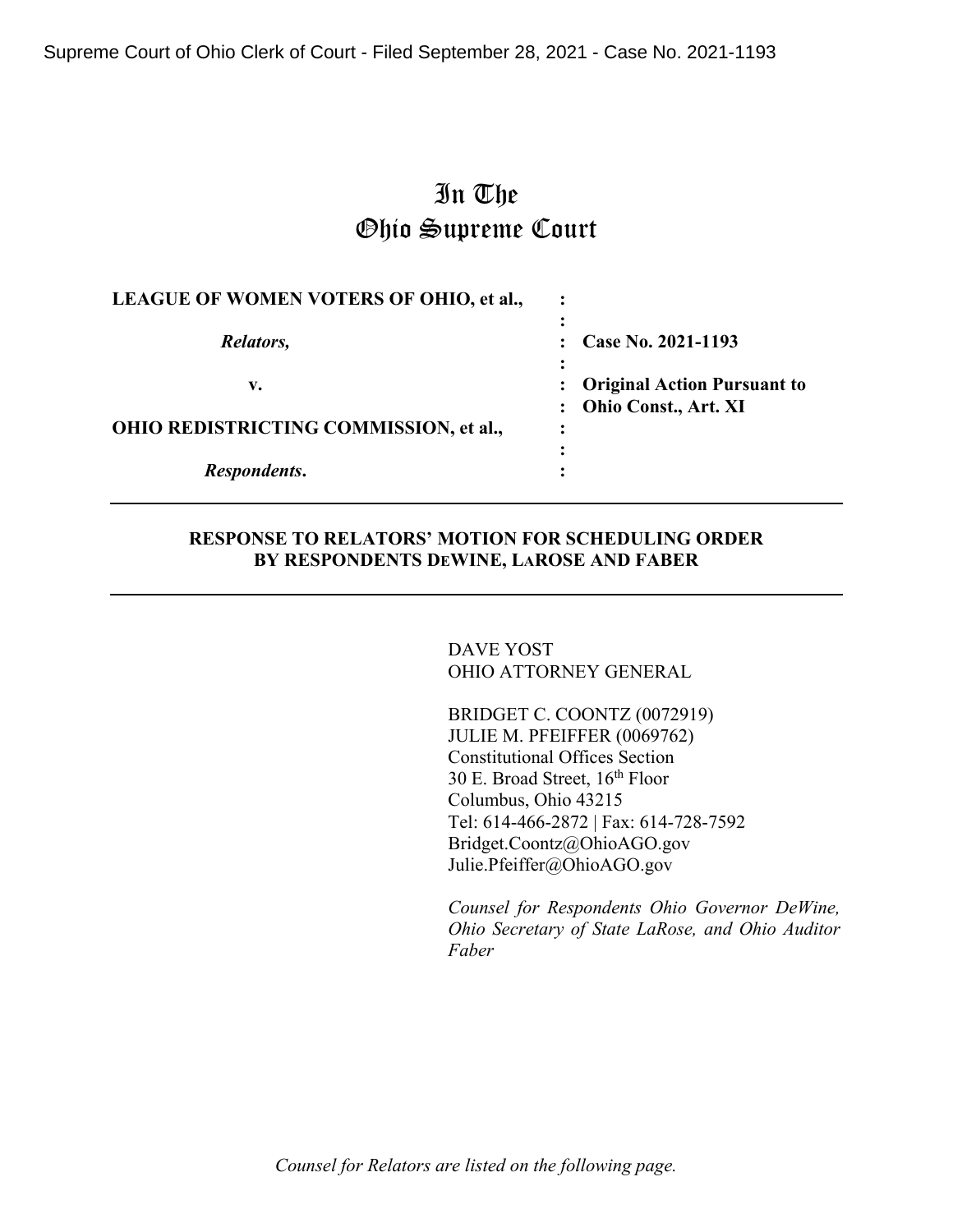Supreme Court of Ohio Clerk of Court - Filed September 28, 2021 - Case No. 2021-1193

# In The Ohio Supreme Court

| LEAGUE OF WOMEN VOTERS OF OHIO, et al.,             |                                                                         |  |
|-----------------------------------------------------|-------------------------------------------------------------------------|--|
| Relators,                                           | Case No. 2021-1193                                                      |  |
| v.<br><b>OHIO REDISTRICTING COMMISSION, et al.,</b> | <b>Original Action Pursuant to</b><br>Ohio Const., Art. XI<br>$\bullet$ |  |
| Respondents.                                        |                                                                         |  |

## **RESPONSE TO RELATORS' MOTION FOR SCHEDULING ORDER BY RESPONDENTS DEWINE, LAROSE AND FABER**

DAVE YOST OHIO ATTORNEY GENERAL

BRIDGET C. COONTZ (0072919) JULIE M. PFEIFFER (0069762) Constitutional Offices Section 30 E. Broad Street, 16th Floor Columbus, Ohio 43215 Tel: 614-466-2872 | Fax: 614-728-7592 Bridget.Coontz@OhioAGO.gov Julie.Pfeiffer@OhioAGO.gov

*Counsel for Respondents Ohio Governor DeWine, Ohio Secretary of State LaRose, and Ohio Auditor Faber*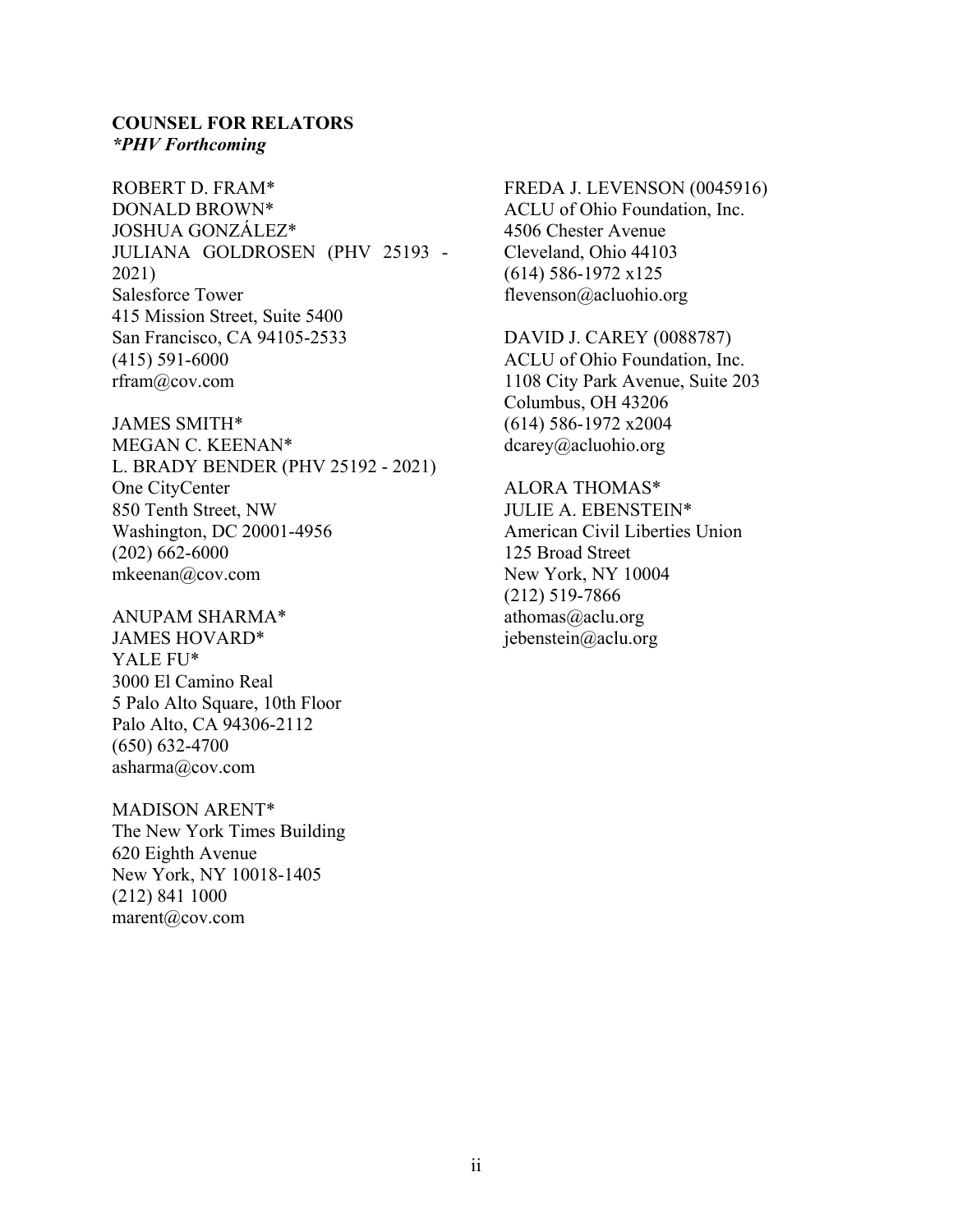### **COUNSEL FOR RELATORS** *\*PHV Forthcoming*

ROBERT D. FRAM\* DONALD BROWN\* JOSHUA GONZÁLEZ\* JULIANA GOLDROSEN (PHV 25193 - 2021) Salesforce Tower 415 Mission Street, Suite 5400 San Francisco, CA 94105-2533 (415) 591-6000 rfram@cov.com

JAMES SMITH\* MEGAN C. KEENAN\* L. BRADY BENDER (PHV 25192 - 2021) One CityCenter 850 Tenth Street, NW Washington, DC 20001-4956 (202) 662-6000 mkeenan@cov.com

ANUPAM SHARMA\* JAMES HOVARD\* YALE FU\* 3000 El Camino Real 5 Palo Alto Square, 10th Floor Palo Alto, CA 94306-2112 (650) 632-4700 asharma@cov.com

MADISON ARENT\* The New York Times Building 620 Eighth Avenue New York, NY 10018-1405 (212) 841 1000 marent@cov.com

FREDA J. LEVENSON (0045916) ACLU of Ohio Foundation, Inc. 4506 Chester Avenue Cleveland, Ohio 44103 (614) 586-1972 x125 flevenson@acluohio.org

DAVID J. CAREY (0088787) ACLU of Ohio Foundation, Inc. 1108 City Park Avenue, Suite 203 Columbus, OH 43206 (614) 586-1972 x2004 dcarey@acluohio.org

ALORA THOMAS\* JULIE A. EBENSTEIN\* American Civil Liberties Union 125 Broad Street New York, NY 10004 (212) 519-7866 athomas@aclu.org jebenstein@aclu.org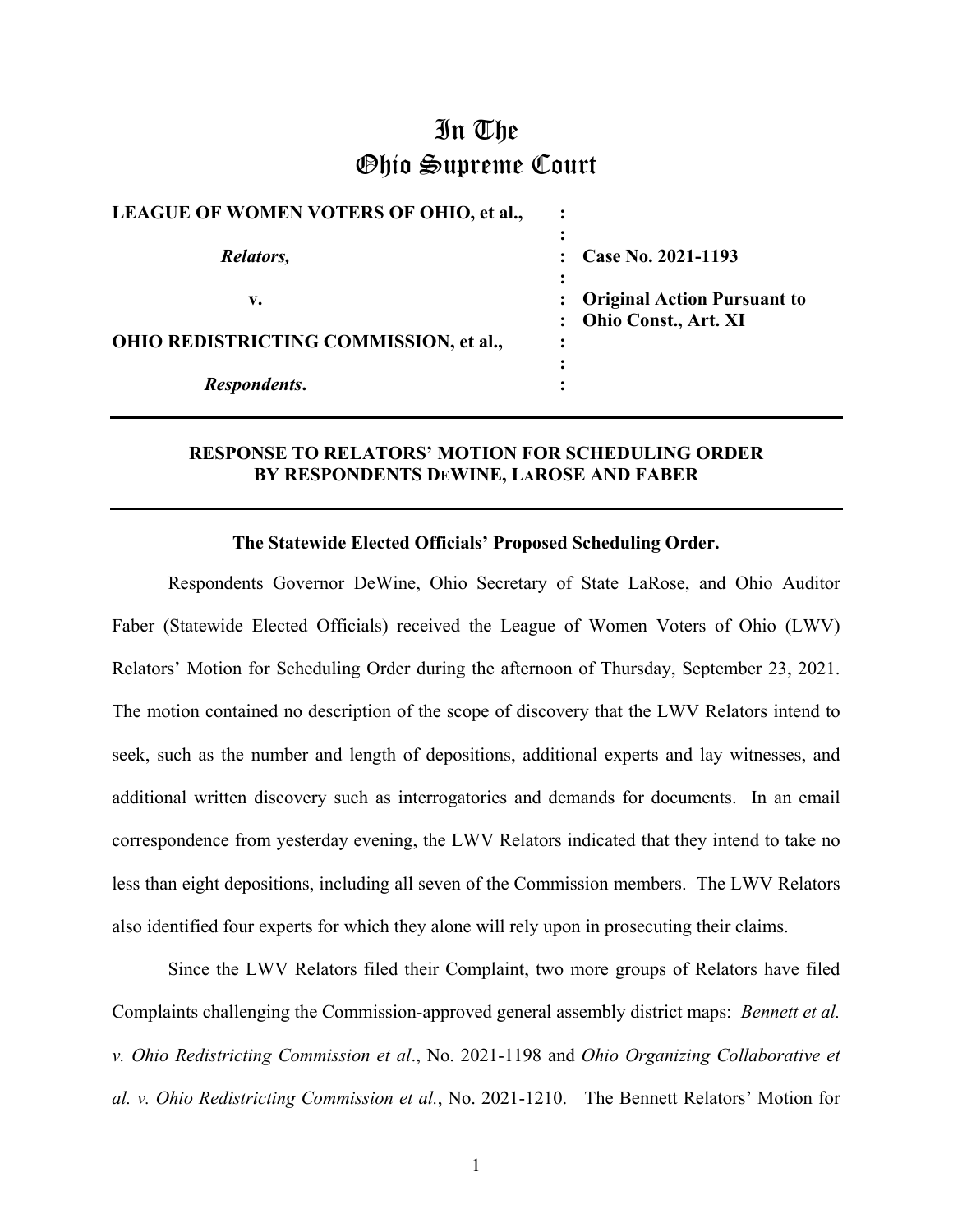## In The Ohio Supreme Court

| <b>LEAGUE OF WOMEN VOTERS OF OHIO, et al.,</b> |                                     |
|------------------------------------------------|-------------------------------------|
| Relators,                                      | Case No. 2021-1193                  |
| v.                                             | <b>Original Action Pursuant to</b>  |
| OHIO REDISTRICTING COMMISSION, et al.,         | : Ohio Const., Art. XI<br>$\bullet$ |
| Respondents.                                   | $\bullet$<br>$\bullet$              |

### **RESPONSE TO RELATORS' MOTION FOR SCHEDULING ORDER BY RESPONDENTS DEWINE, LAROSE AND FABER**

### **The Statewide Elected Officials' Proposed Scheduling Order.**

Respondents Governor DeWine, Ohio Secretary of State LaRose, and Ohio Auditor Faber (Statewide Elected Officials) received the League of Women Voters of Ohio (LWV) Relators' Motion for Scheduling Order during the afternoon of Thursday, September 23, 2021. The motion contained no description of the scope of discovery that the LWV Relators intend to seek, such as the number and length of depositions, additional experts and lay witnesses, and additional written discovery such as interrogatories and demands for documents. In an email correspondence from yesterday evening, the LWV Relators indicated that they intend to take no less than eight depositions, including all seven of the Commission members. The LWV Relators also identified four experts for which they alone will rely upon in prosecuting their claims.

Since the LWV Relators filed their Complaint, two more groups of Relators have filed Complaints challenging the Commission-approved general assembly district maps: *Bennett et al. v. Ohio Redistricting Commission et al*., No. 2021-1198 and *Ohio Organizing Collaborative et al. v. Ohio Redistricting Commission et al.*, No. 2021-1210. The Bennett Relators' Motion for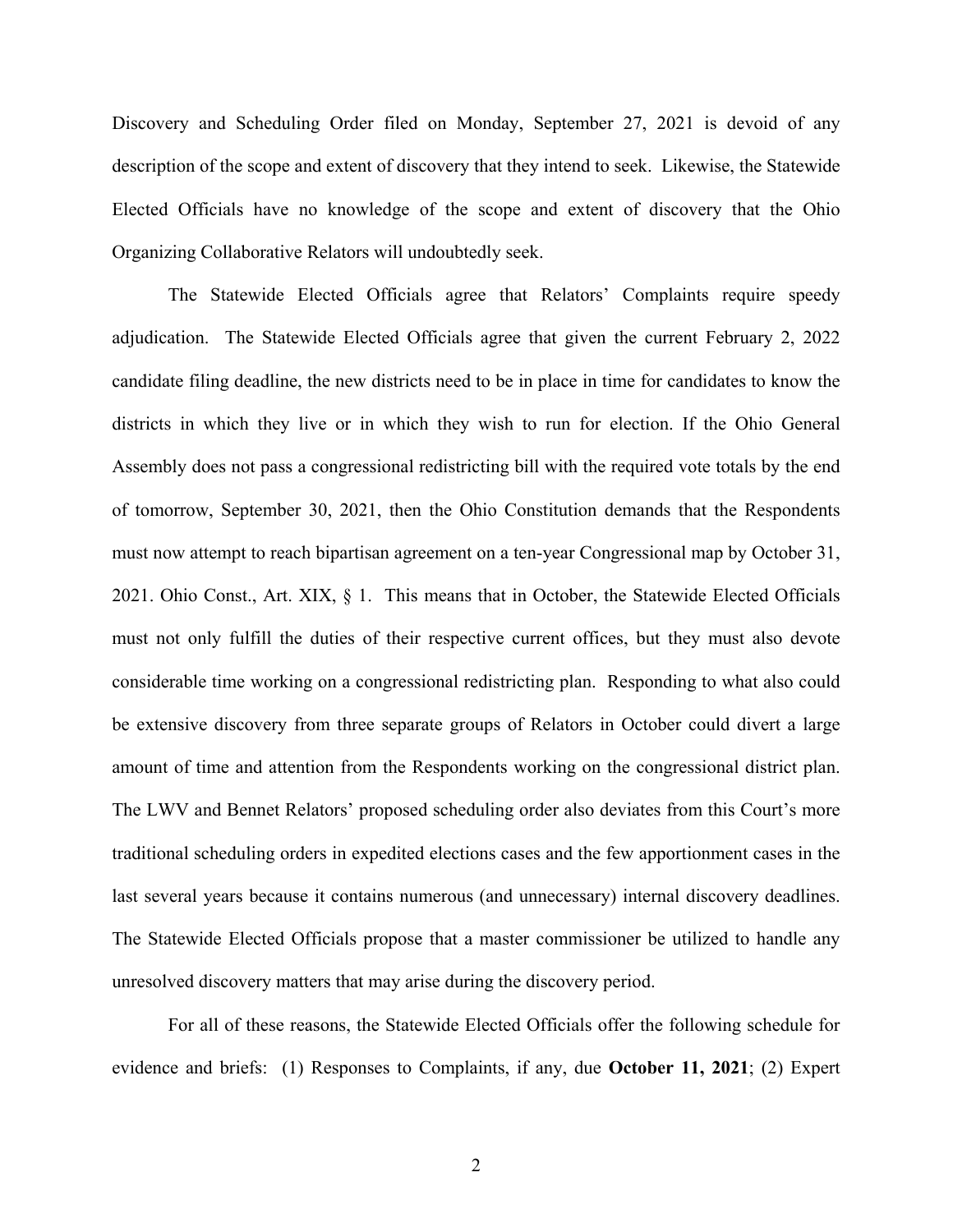Discovery and Scheduling Order filed on Monday, September 27, 2021 is devoid of any description of the scope and extent of discovery that they intend to seek. Likewise, the Statewide Elected Officials have no knowledge of the scope and extent of discovery that the Ohio Organizing Collaborative Relators will undoubtedly seek.

The Statewide Elected Officials agree that Relators' Complaints require speedy adjudication. The Statewide Elected Officials agree that given the current February 2, 2022 candidate filing deadline, the new districts need to be in place in time for candidates to know the districts in which they live or in which they wish to run for election. If the Ohio General Assembly does not pass a congressional redistricting bill with the required vote totals by the end of tomorrow, September 30, 2021, then the Ohio Constitution demands that the Respondents must now attempt to reach bipartisan agreement on a ten-year Congressional map by October 31, 2021. Ohio Const., Art. XIX, § 1. This means that in October, the Statewide Elected Officials must not only fulfill the duties of their respective current offices, but they must also devote considerable time working on a congressional redistricting plan. Responding to what also could be extensive discovery from three separate groups of Relators in October could divert a large amount of time and attention from the Respondents working on the congressional district plan. The LWV and Bennet Relators' proposed scheduling order also deviates from this Court's more traditional scheduling orders in expedited elections cases and the few apportionment cases in the last several years because it contains numerous (and unnecessary) internal discovery deadlines. The Statewide Elected Officials propose that a master commissioner be utilized to handle any unresolved discovery matters that may arise during the discovery period.

For all of these reasons, the Statewide Elected Officials offer the following schedule for evidence and briefs: (1) Responses to Complaints, if any, due **October 11, 2021**; (2) Expert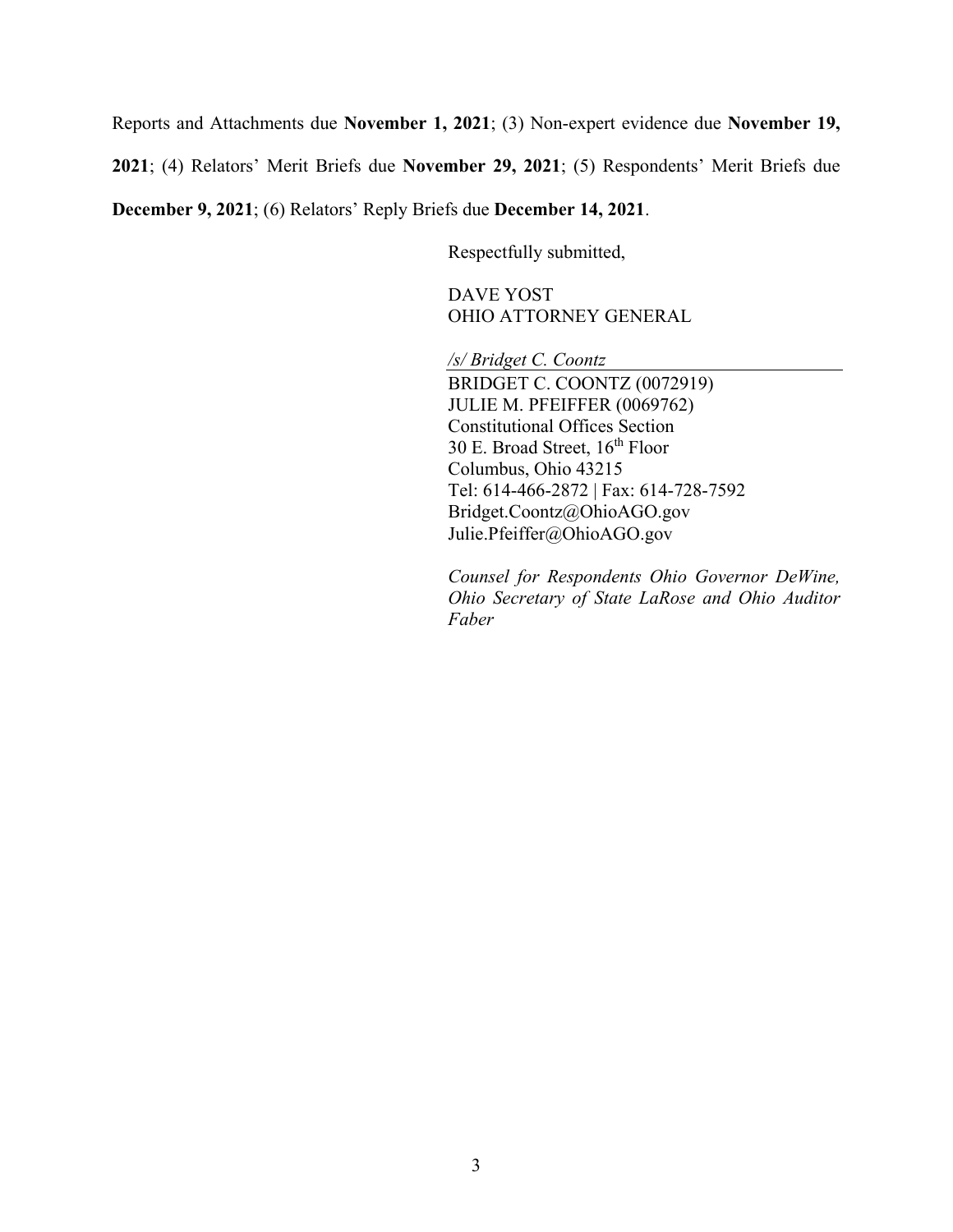Reports and Attachments due **November 1, 2021**; (3) Non-expert evidence due **November 19,** 

**2021**; (4) Relators' Merit Briefs due **November 29, 2021**; (5) Respondents' Merit Briefs due

**December 9, 2021**; (6) Relators' Reply Briefs due **December 14, 2021**.

Respectfully submitted,

DAVE YOST OHIO ATTORNEY GENERAL

*/s/ Bridget C. Coontz*

BRIDGET C. COONTZ (0072919) JULIE M. PFEIFFER (0069762) Constitutional Offices Section 30 E. Broad Street,  $16^{th}$  Floor Columbus, Ohio 43215 Tel: 614-466-2872 | Fax: 614-728-7592 Bridget.Coontz@OhioAGO.gov Julie.Pfeiffer@OhioAGO.gov

*Counsel for Respondents Ohio Governor DeWine, Ohio Secretary of State LaRose and Ohio Auditor Faber*